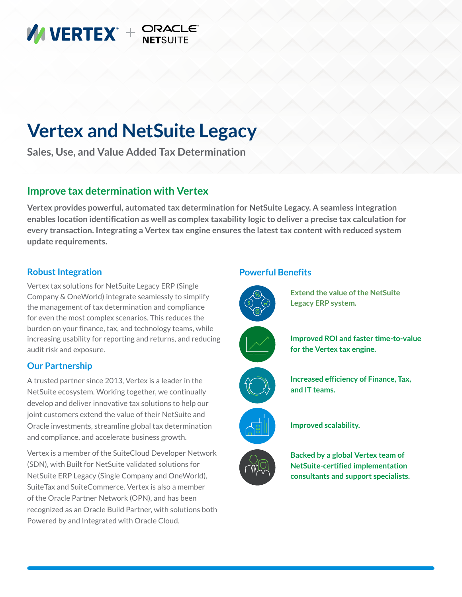

# **Vertex and NetSuite Legacy**

**Sales, Use, and Value Added Tax Determination**

### **Improve tax determination with Vertex**

**Vertex provides powerful, automated tax determination for NetSuite Legacy. A seamless integration enables location identification as well as complex taxability logic to deliver a precise tax calculation for every transaction. Integrating a Vertex tax engine ensures the latest tax content with reduced system update requirements.**

#### **Robust Integration**

Vertex tax solutions for NetSuite Legacy ERP (Single Company & OneWorld) integrate seamlessly to simplify the management of tax determination and compliance for even the most complex scenarios. This reduces the burden on your finance, tax, and technology teams, while increasing usability for reporting and returns, and reducing audit risk and exposure.

#### **Our Partnership**

A trusted partner since 2013, Vertex is a leader in the NetSuite ecosystem. Working together, we continually develop and deliver innovative tax solutions to help our joint customers extend the value of their NetSuite and Oracle investments, streamline global tax determination and compliance, and accelerate business growth.

Vertex is a member of the SuiteCloud Developer Network (SDN), with Built for NetSuite validated solutions for NetSuite ERP Legacy (Single Company and OneWorld), SuiteTax and SuiteCommerce. Vertex is also a member of the Oracle Partner Network (OPN), and has been recognized as an Oracle Build Partner, with solutions both Powered by and Integrated with Oracle Cloud.

#### **Powerful Benefits**



**Extend the value of the NetSuite Legacy ERP system.**







**Increased efficiency of Finance, Tax, and IT teams.**



**Improved scalability.**

**Backed by a global Vertex team of NetSuite-certified implementation consultants and support specialists.**